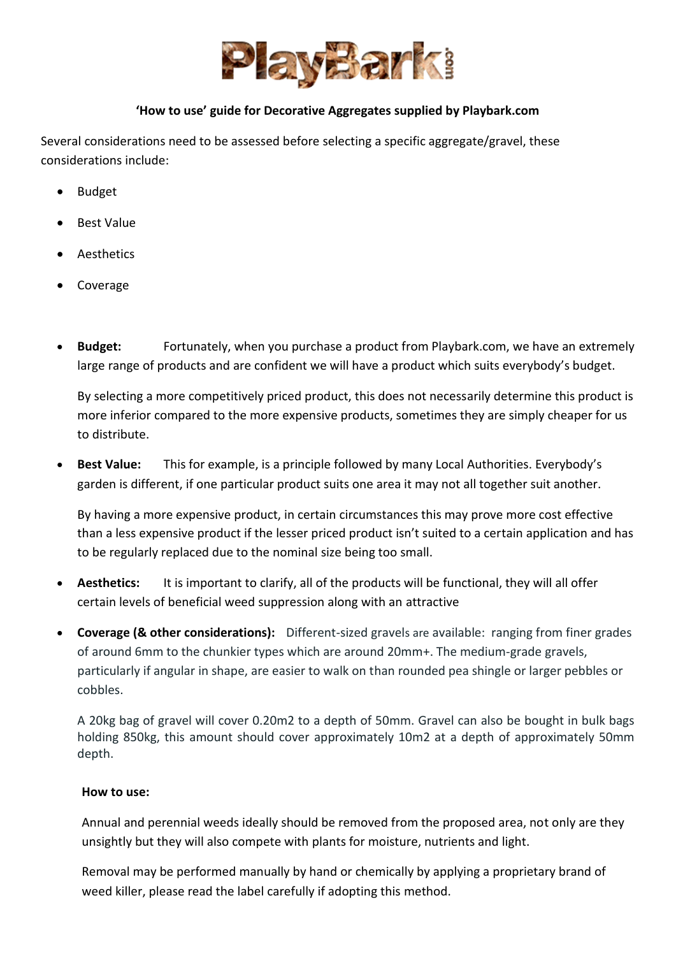

## **'How to use' guide for Decorative Aggregates supplied by Playbark.com**

Several considerations need to be assessed before selecting a specific aggregate/gravel, these considerations include:

- Budget
- Best Value
- **Aesthetics**
- **Coverage**
- **Budget:** Fortunately, when you purchase a product from Playbark.com, we have an extremely large range of products and are confident we will have a product which suits everybody's budget.

By selecting a more competitively priced product, this does not necessarily determine this product is more inferior compared to the more expensive products, sometimes they are simply cheaper for us to distribute.

• **Best Value:** This for example, is a principle followed by many Local Authorities. Everybody's garden is different, if one particular product suits one area it may not all together suit another.

By having a more expensive product, in certain circumstances this may prove more cost effective than a less expensive product if the lesser priced product isn't suited to a certain application and has to be regularly replaced due to the nominal size being too small.

- **Aesthetics:** It is important to clarify, all of the products will be functional, they will all offer certain levels of beneficial weed suppression along with an attractive
- **Coverage (& other considerations):** Different-sized gravels are available: ranging from finer grades of around 6mm to the chunkier types which are around 20mm+. The medium-grade gravels, particularly if angular in shape, are easier to walk on than rounded pea shingle or larger pebbles or cobbles.

A 20kg bag of gravel will cover 0.20m2 to a depth of 50mm. Gravel can also be bought in bulk bags holding 850kg, this amount should cover approximately 10m2 at a depth of approximately 50mm depth.

#### **How to use:**

Annual and perennial weeds ideally should be removed from the proposed area, not only are they unsightly but they will also compete with plants for moisture, nutrients and light.

Removal may be performed manually by hand or chemically by applying a proprietary brand of weed killer, please read the label carefully if adopting this method.